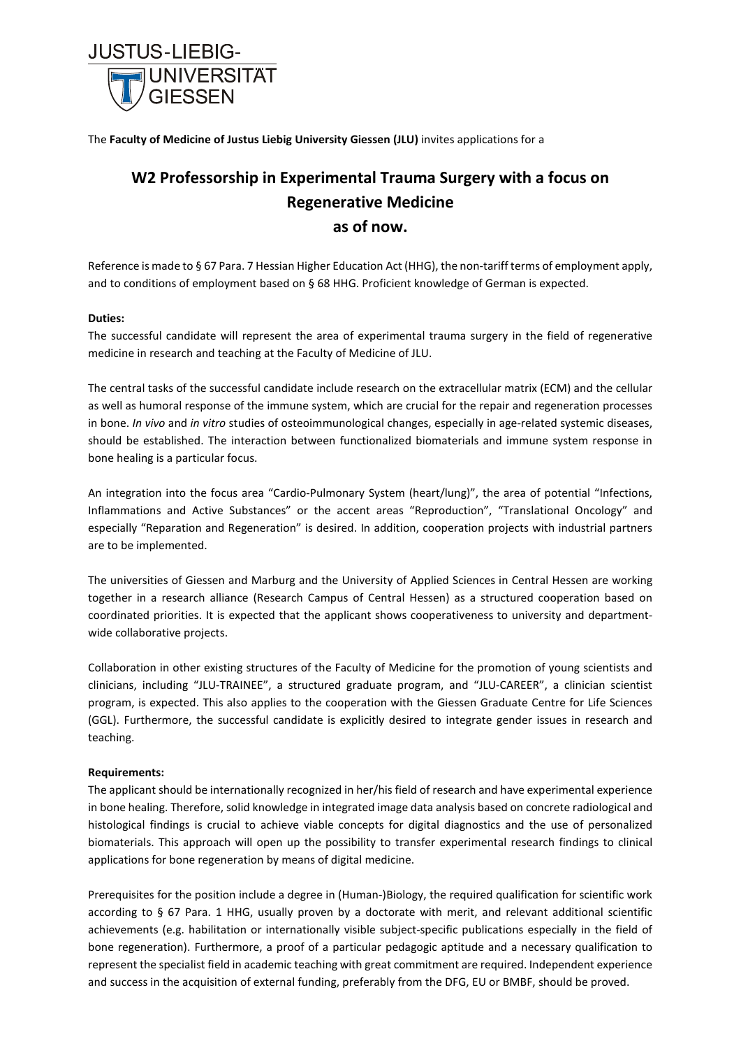

The **Faculty of Medicine of Justus Liebig University Giessen (JLU)** invites applications for a

## **W2 Professorship in Experimental Trauma Surgery with a focus on Regenerative Medicine as of now.**

Reference is made to § 67 Para. 7 Hessian Higher Education Act (HHG), the non-tariff terms of employment apply, and to conditions of employment based on § 68 HHG. Proficient knowledge of German is expected.

## **Duties:**

The successful candidate will represent the area of experimental trauma surgery in the field of regenerative medicine in research and teaching at the Faculty of Medicine of JLU.

The central tasks of the successful candidate include research on the extracellular matrix (ECM) and the cellular as well as humoral response of the immune system, which are crucial for the repair and regeneration processes in bone. *In vivo* and *in vitro* studies of osteoimmunological changes, especially in age-related systemic diseases, should be established. The interaction between functionalized biomaterials and immune system response in bone healing is a particular focus.

An integration into the focus area "Cardio-Pulmonary System (heart/lung)", the area of potential "Infections, Inflammations and Active Substances" or the accent areas "Reproduction", "Translational Oncology" and especially "Reparation and Regeneration" is desired. In addition, cooperation projects with industrial partners are to be implemented.

The universities of Giessen and Marburg and the University of Applied Sciences in Central Hessen are working together in a research alliance (Research Campus of Central Hessen) as a structured cooperation based on coordinated priorities. It is expected that the applicant shows cooperativeness to university and departmentwide collaborative projects.

Collaboration in other existing structures of the Faculty of Medicine for the promotion of young scientists and clinicians, including "JLU-TRAINEE", a structured graduate program, and "JLU-CAREER", a clinician scientist program, is expected. This also applies to the cooperation with the Giessen Graduate Centre for Life Sciences (GGL). Furthermore, the successful candidate is explicitly desired to integrate gender issues in research and teaching.

## **Requirements:**

The applicant should be internationally recognized in her/his field of research and have experimental experience in bone healing. Therefore, solid knowledge in integrated image data analysis based on concrete radiological and histological findings is crucial to achieve viable concepts for digital diagnostics and the use of personalized biomaterials. This approach will open up the possibility to transfer experimental research findings to clinical applications for bone regeneration by means of digital medicine.

Prerequisites for the position include a degree in (Human-)Biology, the required qualification for scientific work according to § 67 Para. 1 HHG, usually proven by a doctorate with merit, and relevant additional scientific achievements (e.g. habilitation or internationally visible subject-specific publications especially in the field of bone regeneration). Furthermore, a proof of a particular pedagogic aptitude and a necessary qualification to represent the specialist field in academic teaching with great commitment are required. Independent experience and success in the acquisition of external funding, preferably from the DFG, EU or BMBF, should be proved.